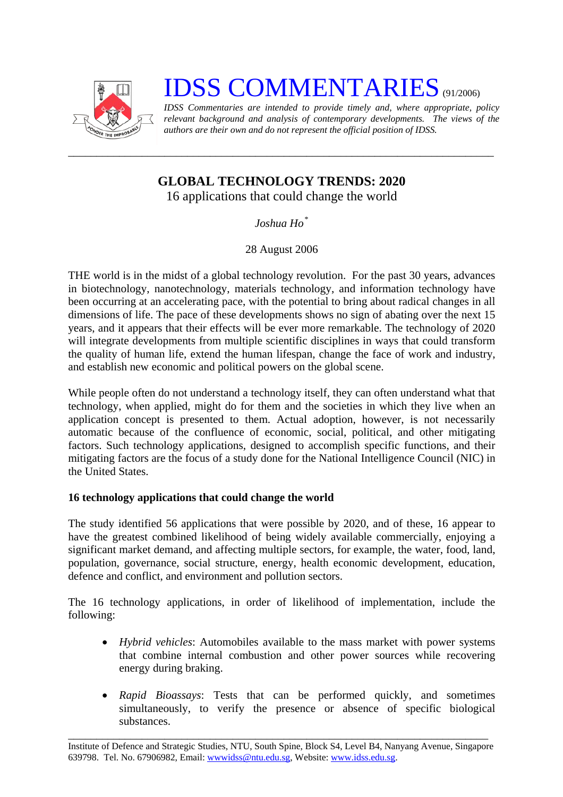

# **IDSS COMMENTARIES** (91/2006)

*IDSS Commentaries are intended to provide timely and, where appropriate, policy relevant background and analysis of contemporary developments. The views of the authors are their own and do not represent the official position of IDSS.* 

# **GLOBAL TECHNOLOGY TRENDS: 2020**

*\_\_\_\_\_\_\_\_\_\_\_\_\_\_\_\_\_\_\_\_\_\_\_\_\_\_\_\_\_\_\_\_\_\_\_\_\_\_\_\_\_\_\_\_\_\_\_\_\_\_\_\_\_\_\_\_\_\_\_\_\_\_\_\_\_\_\_\_\_\_\_\_\_\_\_* 

16 applications that could change the world

*Joshua Ho[\\*](#page-3-0)*

28 August 2006

THE world is in the midst of a global technology revolution. For the past 30 years, advances in biotechnology, nanotechnology, materials technology, and information technology have been occurring at an accelerating pace, with the potential to bring about radical changes in all dimensions of life. The pace of these developments shows no sign of abating over the next 15 years, and it appears that their effects will be ever more remarkable. The technology of 2020 will integrate developments from multiple scientific disciplines in ways that could transform the quality of human life, extend the human lifespan, change the face of work and industry, and establish new economic and political powers on the global scene.

While people often do not understand a technology itself, they can often understand what that technology, when applied, might do for them and the societies in which they live when an application concept is presented to them. Actual adoption, however, is not necessarily automatic because of the confluence of economic, social, political, and other mitigating factors. Such technology applications, designed to accomplish specific functions, and their mitigating factors are the focus of a study done for the National Intelligence Council (NIC) in the United States.

## **16 technology applications that could change the world**

The study identified 56 applications that were possible by 2020, and of these, 16 appear to have the greatest combined likelihood of being widely available commercially, enjoying a significant market demand, and affecting multiple sectors, for example, the water, food, land, population, governance, social structure, energy, health economic development, education, defence and conflict, and environment and pollution sectors.

The 16 technology applications, in order of likelihood of implementation, include the following:

- *Hybrid vehicles*: Automobiles available to the mass market with power systems that combine internal combustion and other power sources while recovering energy during braking.
- *Rapid Bioassays*: Tests that can be performed quickly, and sometimes simultaneously, to verify the presence or absence of specific biological substances.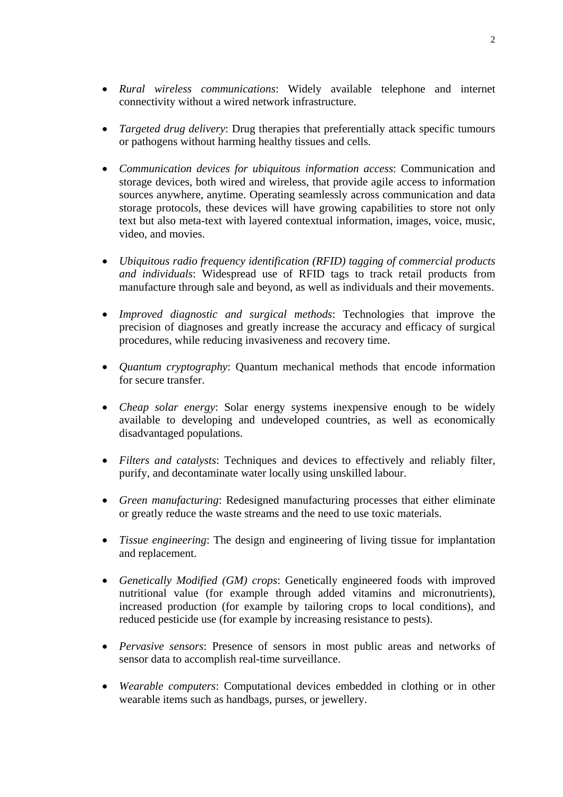- *Rural wireless communications*: Widely available telephone and internet connectivity without a wired network infrastructure.
- *Targeted drug delivery*: Drug therapies that preferentially attack specific tumours or pathogens without harming healthy tissues and cells.
- *Communication devices for ubiquitous information access*: Communication and storage devices, both wired and wireless, that provide agile access to information sources anywhere, anytime. Operating seamlessly across communication and data storage protocols, these devices will have growing capabilities to store not only text but also meta-text with layered contextual information, images, voice, music, video, and movies.
- *Ubiquitous radio frequency identification (RFID) tagging of commercial products and individuals*: Widespread use of RFID tags to track retail products from manufacture through sale and beyond, as well as individuals and their movements.
- *Improved diagnostic and surgical methods*: Technologies that improve the precision of diagnoses and greatly increase the accuracy and efficacy of surgical procedures, while reducing invasiveness and recovery time.
- *Quantum cryptography*: Quantum mechanical methods that encode information for secure transfer.
- *Cheap solar energy*: Solar energy systems inexpensive enough to be widely available to developing and undeveloped countries, as well as economically disadvantaged populations.
- *Filters and catalysts*: Techniques and devices to effectively and reliably filter, purify, and decontaminate water locally using unskilled labour.
- *Green manufacturing*: Redesigned manufacturing processes that either eliminate or greatly reduce the waste streams and the need to use toxic materials.
- *Tissue engineering*: The design and engineering of living tissue for implantation and replacement.
- *Genetically Modified (GM) crops*: Genetically engineered foods with improved nutritional value (for example through added vitamins and micronutrients), increased production (for example by tailoring crops to local conditions), and reduced pesticide use (for example by increasing resistance to pests).
- *Pervasive sensors*: Presence of sensors in most public areas and networks of sensor data to accomplish real-time surveillance.
- *Wearable computers*: Computational devices embedded in clothing or in other wearable items such as handbags, purses, or jewellery.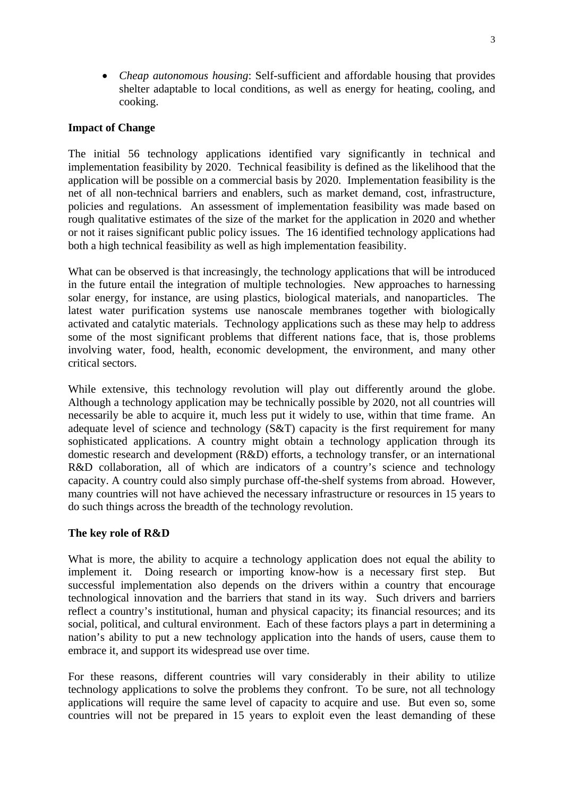• *Cheap autonomous housing*: Self-sufficient and affordable housing that provides shelter adaptable to local conditions, as well as energy for heating, cooling, and cooking.

### **Impact of Change**

The initial 56 technology applications identified vary significantly in technical and implementation feasibility by 2020. Technical feasibility is defined as the likelihood that the application will be possible on a commercial basis by 2020. Implementation feasibility is the net of all non-technical barriers and enablers, such as market demand, cost, infrastructure, policies and regulations. An assessment of implementation feasibility was made based on rough qualitative estimates of the size of the market for the application in 2020 and whether or not it raises significant public policy issues. The 16 identified technology applications had both a high technical feasibility as well as high implementation feasibility.

What can be observed is that increasingly, the technology applications that will be introduced in the future entail the integration of multiple technologies. New approaches to harnessing solar energy, for instance, are using plastics, biological materials, and nanoparticles. The latest water purification systems use nanoscale membranes together with biologically activated and catalytic materials. Technology applications such as these may help to address some of the most significant problems that different nations face, that is, those problems involving water, food, health, economic development, the environment, and many other critical sectors.

While extensive, this technology revolution will play out differently around the globe. Although a technology application may be technically possible by 2020, not all countries will necessarily be able to acquire it, much less put it widely to use, within that time frame. An adequate level of science and technology (S&T) capacity is the first requirement for many sophisticated applications. A country might obtain a technology application through its domestic research and development (R&D) efforts, a technology transfer, or an international R&D collaboration, all of which are indicators of a country's science and technology capacity. A country could also simply purchase off-the-shelf systems from abroad. However, many countries will not have achieved the necessary infrastructure or resources in 15 years to do such things across the breadth of the technology revolution.

#### **The key role of R&D**

What is more, the ability to acquire a technology application does not equal the ability to implement it. Doing research or importing know-how is a necessary first step. But successful implementation also depends on the drivers within a country that encourage technological innovation and the barriers that stand in its way. Such drivers and barriers reflect a country's institutional, human and physical capacity; its financial resources; and its social, political, and cultural environment. Each of these factors plays a part in determining a nation's ability to put a new technology application into the hands of users, cause them to embrace it, and support its widespread use over time.

For these reasons, different countries will vary considerably in their ability to utilize technology applications to solve the problems they confront. To be sure, not all technology applications will require the same level of capacity to acquire and use. But even so, some countries will not be prepared in 15 years to exploit even the least demanding of these